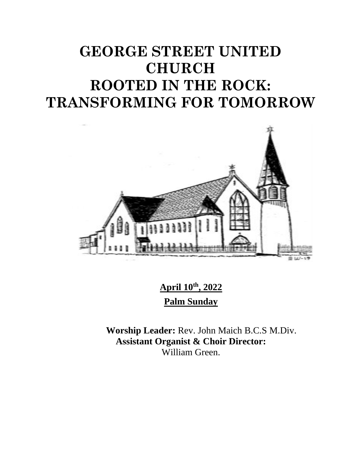# **GEORGE STREET UNITED CHURCH ROOTED IN THE ROCK: TRANSFORMING FOR TOMORROW**



**April 10th, 2022 Palm Sunday**

**Worship Leader:** Rev. John Maich B.C.S M.Div. **Assistant Organist & Choir Director:**  William Green.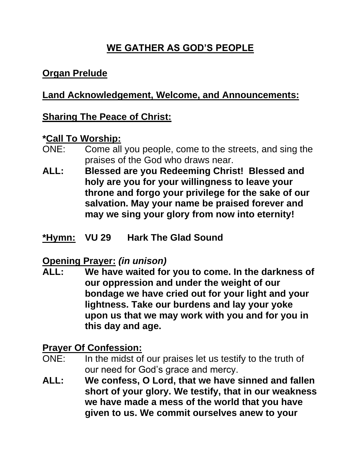## **WE GATHER AS GOD'S PEOPLE**

## **Organ Prelude**

## **Land Acknowledgement, Welcome, and Announcements:**

## **Sharing The Peace of Christ:**

#### **\*Call To Worship:**

- ONE: Come all you people, come to the streets, and sing the praises of the God who draws near.
- **ALL: Blessed are you Redeeming Christ! Blessed and holy are you for your willingness to leave your throne and forgo your privilege for the sake of our salvation. May your name be praised forever and may we sing your glory from now into eternity!**
- **\*Hymn: VU 29 Hark The Glad Sound**

#### **Opening Prayer:** *(in unison)*

**ALL: We have waited for you to come. In the darkness of our oppression and under the weight of our bondage we have cried out for your light and your lightness. Take our burdens and lay your yoke upon us that we may work with you and for you in this day and age.**

#### **Prayer Of Confession:**

- ONE: In the midst of our praises let us testify to the truth of our need for God's grace and mercy.
- **ALL: We confess, O Lord, that we have sinned and fallen short of your glory. We testify, that in our weakness we have made a mess of the world that you have given to us. We commit ourselves anew to your**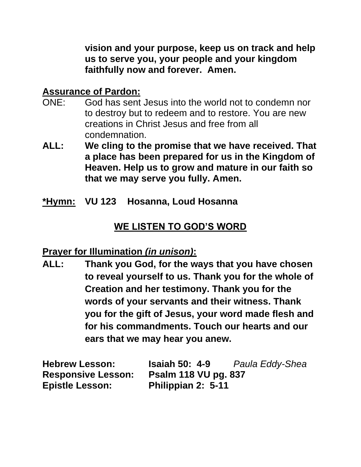**vision and your purpose, keep us on track and help us to serve you, your people and your kingdom faithfully now and forever. Amen.**

## **Assurance of Pardon:**

- ONE: God has sent Jesus into the world not to condemn nor to destroy but to redeem and to restore. You are new creations in Christ Jesus and free from all condemnation.
- **ALL: We cling to the promise that we have received. That a place has been prepared for us in the Kingdom of Heaven. Help us to grow and mature in our faith so that we may serve you fully. Amen.**
- **\*Hymn: VU 123 Hosanna, Loud Hosanna**

## **WE LISTEN TO GOD'S WORD**

#### **Prayer for Illumination** *(in unison)***:**

**ALL: Thank you God, for the ways that you have chosen to reveal yourself to us. Thank you for the whole of Creation and her testimony. Thank you for the words of your servants and their witness. Thank you for the gift of Jesus, your word made flesh and for his commandments. Touch our hearts and our ears that we may hear you anew.**

| <b>Hebrew Lesson:</b>     | <b>Isaiah 50: 4-9</b>       | Paula Eddy-Shea |
|---------------------------|-----------------------------|-----------------|
| <b>Responsive Lesson:</b> | <b>Psalm 118 VU pg. 837</b> |                 |
| <b>Epistle Lesson:</b>    | Philippian 2: 5-11          |                 |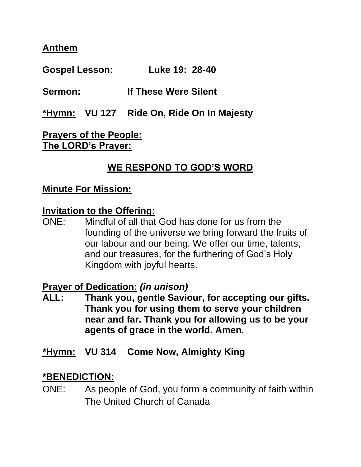#### **Anthem**

**Gospel Lesson: Luke 19: 28-40**

**Sermon: If These Were Silent**

**\*Hymn: VU 127 Ride On, Ride On In Majesty**

**Prayers of the People: The LORD's Prayer:**

## **WE RESPOND TO GOD'S WORD**

#### **Minute For Mission:**

#### **Invitation to the Offering:**

ONE: Mindful of all that God has done for us from the founding of the universe we bring forward the fruits of our labour and our being. We offer our time, talents, and our treasures, for the furthering of God's Holy Kingdom with joyful hearts.

**Prayer of Dedication:** *(in unison)*

**ALL: Thank you, gentle Saviour, for accepting our gifts. Thank you for using them to serve your children near and far. Thank you for allowing us to be your agents of grace in the world. Amen.**

#### **\*Hymn: VU 314 Come Now, Almighty King**

#### **\*BENEDICTION:**

ONE: As people of God, you form a community of faith within The United Church of Canada